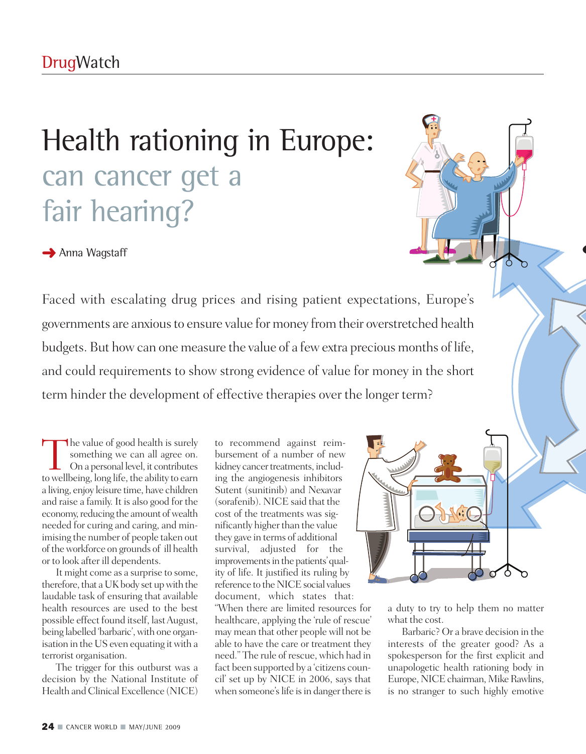# Health rationing in Europe: can cancer get a fair hearing?

**→** Anna Wagstaff

Faced with escalating drug prices and rising patient expectations, Europe's governments are anxious to ensure value for money from their overstretched health budgets. But howcan one measure the value of a fewextra precious months of life, and could requirements to show strong evidence of value for money in the short term hinder the development of effective therapies over the longer term?

The value of good health is surely<br>
something we can all agree on.<br>
On a personal level, it contributes<br>
to well being long life the ability to earn something we can all agree on. towellbeing, long life, the ability to earn a living, enjoy leisure time, have children and raise a family. It is also good for the economy, reducing the amount of wealth needed for curing and caring, and minimising the number of people taken out of the workforce on grounds of ill health or to look after ill dependents.

It might come as a surprise to some, therefore, that a UK body set up with the laudable task of ensuring that available health resources are used to the best possible effect found itself, lastAugust, being labelled 'barbaric', with one organisation in the US even equating itwith a terrorist organisation.

The trigger for this outburst was a decision by the National Institute of Health and Clinical Excellence (NICE)

to recommend against reimbursement of a number of new kidney cancer treatments, including the angiogenesis inhibitors Sutent (sunitinib) and Nexavar (sorafenib). NICE said that the cost of the treatments was significantly higher than the value they gave in terms of additional survival, adjusted for the improvements in the patients' quality of life. It justified its ruling by reference to the NICE social values document, which states that: "When there are limited resources for healthcare, applying the 'rule of rescue' may mean that other people will not be able to have the care or treatment they need." The rule of rescue, which had in fact been supported by a 'citizens council' set up by NICE in 2006, says that when someone's life is in danger there is



a duty to try to help them no matter what the cost.

Barbaric? Or a brave decision in the interests of the greater good? As a spokesperson for the first explicit and unapologetic health rationing body in Europe, NICE chairman, Mike Rawlins, is no stranger to such highly emotive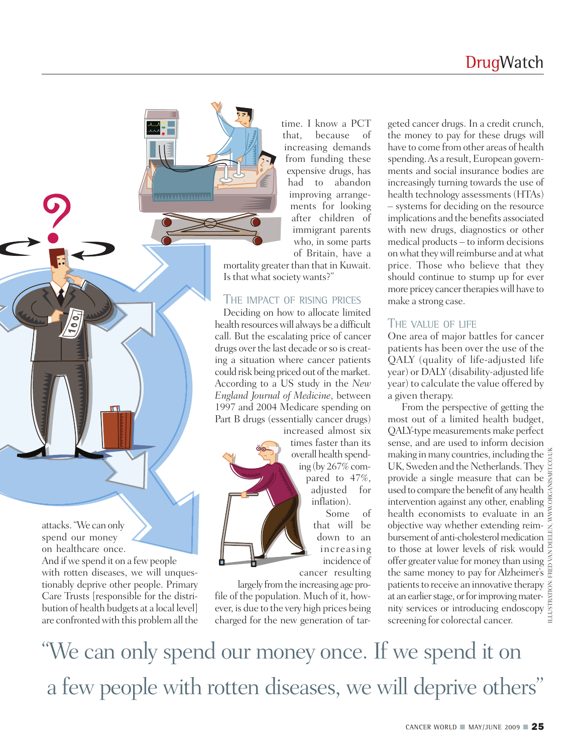

And if we spend it on a few people with rotten diseases, we will unquestionably deprive other people. Primary Care Trusts [responsible for the distribution of health budgets at a local level] are confronted with this problem all the time. I know a PCT that, because of increasing demands from funding these expensive drugs, has had to abandon improving arrangements for looking after children of immigrant parents who, in some parts of Britain, have a

mortality greater than that in Kuwait. Is that what society wants?"

### THE IMPACT OF RISING PRICES

Deciding on how to allocate limited health resourceswill always be a difficult call. But the escalating price of cancer drugs over the last decade or so is creating a situation where cancer patients could risk being priced out of the market. According to a US study in the *New England Journal of Medicine*, between 1997 and 2004 Medicare spending on Part B drugs (essentially cancer drugs)

increased almost six times faster than its overall health spending (by 267% compared to 47%, adjusted for inflation). Some of that will be down to an increasing incidence of cancer resulting

largely from the increasing age profile of the population. Much of it, however, is due to the very high prices being

geted cancer drugs. In a credit crunch, the money to pay for these drugs will have to come from other areas of health spending. As a result, European governments and social insurance bodies are increasingly turning towards the use of health technology assessments (HTAs) – systems for deciding on the resource implications and the benefits associated with new drugs, diagnostics or other medical products – to inform decisions on what they will reimburse and at what price. Those who believe that they should continue to stump up for ever more pricey cancer therapies will have to make a strong case.

### THE VALUE OF LIFE

One area of major battles for cancer patients has been over the use of the QALY (quality of life-adjusted life year) or DALY (disability-adjusted life year) to calculate the value offered by a given therapy.

From the perspective of getting the most out of a limited health budget, QALY-type measurements make perfect sense, and are used to inform decision making in many countries, including the UK, Sweden and the Netherlands. They provide a single measure that can be used to compare the benefit of any health intervention against any other, enabling health economists to evaluate in an objective way whether extending reimbursement of anti-cholesterol medication to those at lower levels of risk would offer greater value for money than using the same money to pay for Alzheimer's patients to receive an innovative therapy  $\frac{z}{2}$ at an earlier stage, or for improving maternity services or introducing endoscopy screening for colorectal cancer. overall health spend-<br>ing (by 267% com-<br>pared to 47%, provide a single measure that can be seen and the Netherlands. They<br>adjusted for used to compare the benefit of any health<br>inflation).<br>Some of health economists to eval

"We can only spend our money once. If we spend it on a few people with rotten diseases, we will deprive others "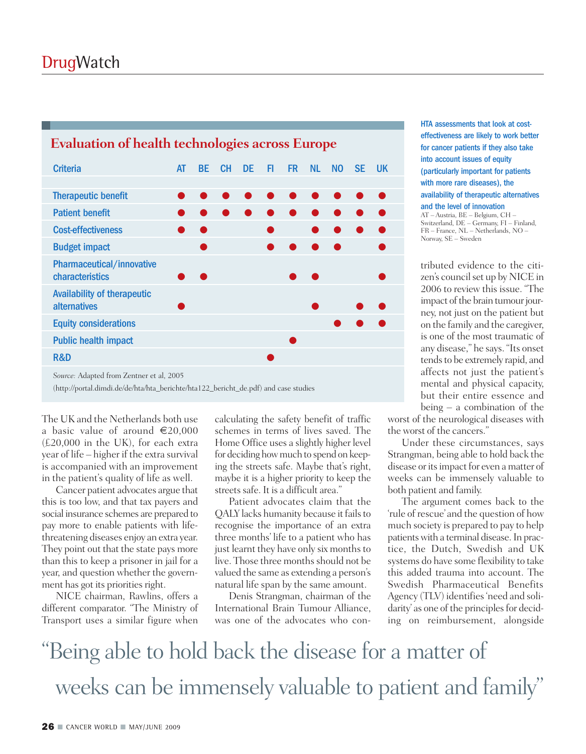| Livaniation of nearen technologies across Lurope          |    |     |           |           |     |           |           |     |     |           |  |
|-----------------------------------------------------------|----|-----|-----------|-----------|-----|-----------|-----------|-----|-----|-----------|--|
| <b>Criteria</b>                                           | AT | BE  | <b>CH</b> | <b>DE</b> | FI. | <b>FR</b> | <b>NL</b> | NO. | SE. | <b>UK</b> |  |
|                                                           |    |     |           |           |     |           |           |     |     |           |  |
| <b>Therapeutic benefit</b>                                |    |     |           |           |     |           |           |     |     |           |  |
| <b>Patient benefit</b>                                    |    |     |           |           |     |           |           |     |     |           |  |
| <b>Cost-effectiveness</b>                                 |    | o a |           |           |     |           |           |     |     |           |  |
| <b>Budget impact</b>                                      |    |     |           |           |     |           |           |     |     |           |  |
| Pharmaceutical/innovative<br>characteristics              |    |     |           |           |     |           |           |     |     |           |  |
| <b>Availability of therapeutic</b><br><b>alternatives</b> |    |     |           |           |     |           |           |     |     |           |  |
| <b>Equity considerations</b>                              |    |     |           |           |     |           |           |     |     |           |  |
| <b>Public health impact</b>                               |    |     |           |           |     |           |           |     |     |           |  |
| R&D                                                       |    |     |           |           |     |           |           |     |     |           |  |
| Source: Adapted from Zentner et al, 2005                  |    |     |           |           |     |           |           |     |     |           |  |

### **Evaluation of health technologies across Europe**

(http://portal.dimdi.de/de/hta/hta\_berichte/hta122\_bericht\_de.pdf) and case studies

The UK and the Netherlands both use a basic value of around  $\epsilon$ 20,000 (£20,000 in the UK), for each extra year of life – higher if the extra survival is accompanied with an improvement in the patient's quality of life as well.

Cancer patient advocates argue that this is too low, and that tax payers and social insurance schemes are prepared to pay more to enable patients with lifethreatening diseases enjoy an extra year. They point out that the state pays more than this to keep a prisoner in jail for a year, and question whether the government has got its priorities right.

NICE chairman, Rawlins, offers a different comparator. "The Ministry of Transport uses a similar figure when

calculating the safety benefit of traffic schemes in terms of lives saved. The Home Office uses a slightly higher level for deciding howmuch to spend on keeping the streets safe. Maybe that's right, maybe it is a higher priority to keep the streets safe. It is a difficult area."

Patient advocates claim that the QALY lacks humanity because it fails to recognise the importance of an extra three months' life to a patient who has just learnt they have only six months to live. Those three months should not be valued the same as extending a person's natural life span by the same amount.

Denis Strangman, chairman of the International Brain Tumour Alliance, was one of the advocates who conHTA assessments that look at costeffectiveness are likely to work better for cancer patients if they also take into account issues of equity (particularly important for patients with more rare diseases), the availability of therapeutic alternatives and the level of innovation

AT – Austria, BE – Belgium, CH – Switzerland, DE – Germany, FI – Finland, FR – France, NL – Netherlands, NO – Norway, SE – Sweden

tributed evidence to the citizen's council set up by NICE in 2006 to review this issue. "The impact of the brain tumour journey, not just on the patient but on the family and the caregiver, is one of the most traumatic of any disease," he says. "Its onset tends to be extremely rapid, and affects not just the patient's mental and physical capacity, but their entire essence and being – a combination of the

worst of the neurological diseases with the worst of the cancers."

Under these circumstances, says Strangman, being able to hold back the disease or its impact for even a matter of weeks can be immensely valuable to both patient and family.

The argument comes back to the 'rule of rescue' and the question of how much society is prepared to pay to help patientswith a terminal disease.In practice, the Dutch, Swedish and UK systems do have some flexibility to take this added trauma into account. The Swedish Pharmaceutical Benefits Agency (TLV) identifies'need and solidarity' as one of the principles for deciding on reimbursement, alongside

"Being able to hold back the disease for a matter of weeks can be immensely valuable to patient and family "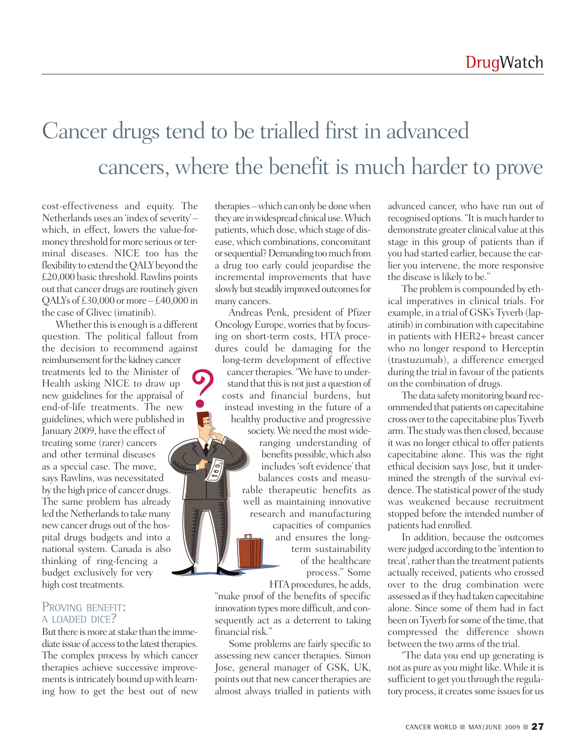# Cancer drugs tend to be trialled first in advanced cancers, where the benefit is much harder to prove

cost-effectiveness and equity. The Netherlands uses an 'index of severity'which, in effect, lowers the value-formoney threshold for more serious or terminal diseases. NICE too has the flexibility to extend the OALY beyond the £20,000 basic threshold. Rawlins points out that cancer drugs are routinely given QALYs of  $£30,000$  or more  $-£40,000$  in the case of Glivec (imatinib).

Whether this is enough is a different question. The political fallout from the decision to recommend against reimbursement for the kidney cancer treatments led to the Minister of Health asking NICE to draw up new guidelines for the appraisal of end-of-life treatments. The new guidelines, which were published in January 2009, have the effect of treating some (rarer) cancers and other terminal diseases as a special case. The move, says Rawlins, was necessitated by the high price of cancer drugs. The same problem has already led the Netherlands to take many new cancer drugs out of the hospital drugs budgets and into a national system. Canada is also thinking of ring-fencing a budget exclusively for very high cost treatments.

#### PROVING BENEFIT: A LOADED DICE?

But there is more at stake than the immediate issue of access to the latest therapies. The complex process by which cancer therapies achieve successive improvements is intricately bound up with learning how to get the best out of new therapies – which can only be done when they are in widespread clinical use. Which patients, which dose, which stage of disease, which combinations, concomitant or sequential? Demanding too much from a drug too early could jeopardise the incremental improvements that have slowly but steadily improved outcomes for many cancers.

Andreas Penk, president of Pfizer Oncology Europe, worries that by focusing on short-term costs, HTA procedures could be damaging for the long-term development of effective cancer therapies. "We have to understand that this is not just a question of costs and financial burdens, but instead investing in the future of a healthy productive and progressive society. We need the most wide-

ranging understanding of benefits possible,which also includes'soft evidence'that balances costs and measurable therapeutic benefits as well as maintaining innovative research and manufacturing capacities of companies and ensures the longterm sustainability of the healthcare process." Some

HTAprocedures, he adds,

"make proof of the benefits of specific innovation types more difficult, and consequently act as a deterrent to taking financial risk."

Some problems are fairly specific to assessing new cancer therapies. Simon Jose, general manager of GSK, UK, points out that new cancer therapies are almost always trialled in patients with advanced cancer, who have run out of recognised options. "It is much harder to demonstrate greater clinical value at this stage in this group of patients than if you had started earlier, because the earlier you intervene, the more responsive the disease is likely to be."

The problem is compounded by ethical imperatives in clinical trials. For example, in a trial of GSK's Tyverb (lapatinib) in combination with capecitabine in patients with HER2+ breast cancer who no longer respond to Herceptin (trastuzumab), a difference emerged during the trial in favour of the patients on the combination of drugs.

The data safety monitoring board recommended that patients on capecitabine cross over to the capecitabine plus Tyverb arm. The study was then closed, because it was no longer ethical to offer patients capecitabine alone. This was the right ethical decision says Jose, but it undermined the strength of the survival evidence. The statistical power of the study was weakened because recruitment stopped before the intended number of patients had enrolled.

In addition, because the outcomes were judged according to the 'intention to treat', rather than the treatment patients actually received, patients who crossed over to the drug combination were assessed as if they had taken capecitabine alone. Since some of them had in fact been on Tyverb for some of the time, that compressed the difference shown between the two arms of the trial.

"The data you end up generating is not as pure as you might like. While it is sufficient to get you through the regulatory process, it creates some issues for us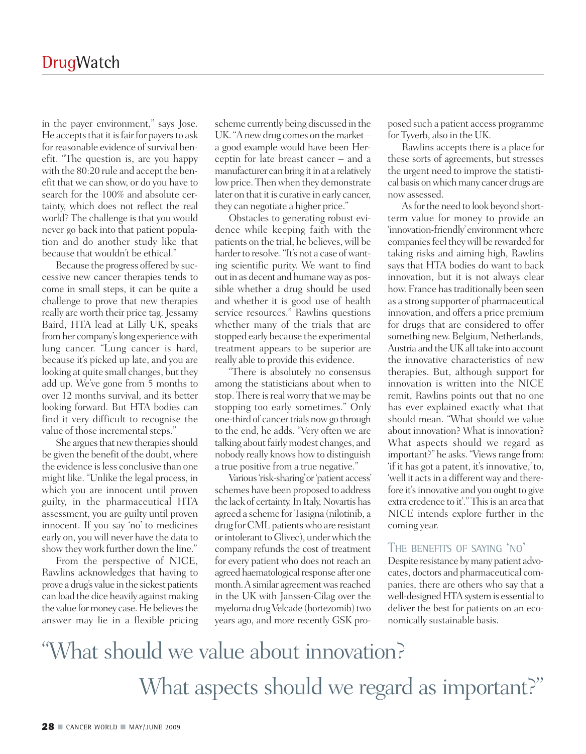in the payer environment," says Jose. He accepts that it is fair for payers to ask for reasonable evidence of survival benefit. "The question is, are you happy with the 80:20 rule and accept the benefit that we can show, or do you have to search for the 100% and absolute certainty, which does not reflect the real world? The challenge is that you would never go back into that patient population and do another study like that because that wouldn't be ethical."

Because the progress offered by successive new cancer therapies tends to come in small steps, it can be quite a challenge to prove that new therapies really are worth their price tag. Jessamy Baird, HTA lead at Lilly UK, speaks from her company's long experience with lung cancer. "Lung cancer is hard, because it's picked up late, and you are looking at quite small changes, but they add up. We've gone from 5 months to over 12 months survival, and its better looking forward. But HTA bodies can find it very difficult to recognise the value of those incremental steps."

She argues that new therapies should be given the benefit of the doubt,where the evidence is less conclusive than one might like. "Unlike the legal process, in which you are innocent until proven guilty, in the pharmaceutical HTA assessment, you are guilty until proven innocent. If you say 'no' to medicines early on, you will never have the data to show they work further down the line."

From the perspective of NICE, Rawlins acknowledges that having to prove a drug's value in the sickest patients can load the dice heavily against making the value for money case. He believes the answer may lie in a flexible pricing

scheme currently being discussed in the UK. "A new drug comes on the market – a good example would have been Herceptin for late breast cancer – and a manufacturer can bring it in at a relatively low price. Then when they demonstrate later on that it is curative in early cancer, they can negotiate a higher price."

Obstacles to generating robust evidence while keeping faith with the patients on the trial, he believes, will be harder to resolve. "It's not a case of wanting scientific purity. We want to find out in as decent and humane way as possible whether a drug should be used and whether it is good use of health service resources." Rawlins questions whether many of the trials that are stopped early because the experimental treatment appears to be superior are really able to provide this evidence.

"There is absolutely no consensus among the statisticians about when to stop. There is real worry that we may be stopping too early sometimes." Only one-third of cancer trials now go through to the end, he adds. "Very often we are talking about fairly modest changes, and nobody really knows how to distinguish a true positive from a true negative."

Various'risk-sharing'or'patient access' schemes have been proposed to address the lack of certainty. In Italy, Novartis has agreed a scheme forTasigna (nilotinib, a drug for CML patients who are resistant or intolerant to Glivec), under which the company refunds the cost of treatment for every patient who does not reach an agreed haematological response after one month. A similar agreement was reached in the UK with Janssen-Cilag over the myeloma drug Velcade (bortezomib) two years ago, and more recently GSK proposed such a patient access programme for Tyverb, also in the UK.

Rawlins accepts there is a place for these sorts of agreements, but stresses the urgent need to improve the statistical basis on which many cancer drugs are now assessed.

As for the need to look beyond shortterm value for money to provide an 'innovation-friendly' environment where companies feel they will be rewarded for taking risks and aiming high, Rawlins says that HTA bodies do want to back innovation, but it is not always clear how. France has traditionally been seen as a strong supporter of pharmaceutical innovation, and offers a price premium for drugs that are considered to offer something new. Belgium, Netherlands, Austria and the UKall take into account the innovative characteristics of new therapies. But, although support for innovation is written into the NICE remit, Rawlins points out that no one has ever explained exactly what that should mean. "What should we value about innovation? What is innovation? What aspects should we regard as important?" he asks. "Views range from: 'if it has got a patent, it'sinnovative,'to, 'well it acts in a different way and therefore it's innovative and you ought to give extra credence to it'." This is an area that NICE intends explore further in the coming year.

### THE BENEFITS OF SAYING 'NO'

Despite resistance bymany patient advocates, doctors and pharmaceutical companies, there are others who say that a well-designed HTA system is essential to deliver the best for patients on an economically sustainable basis.

# "What should we value about innovation? What aspects should we regard as important?"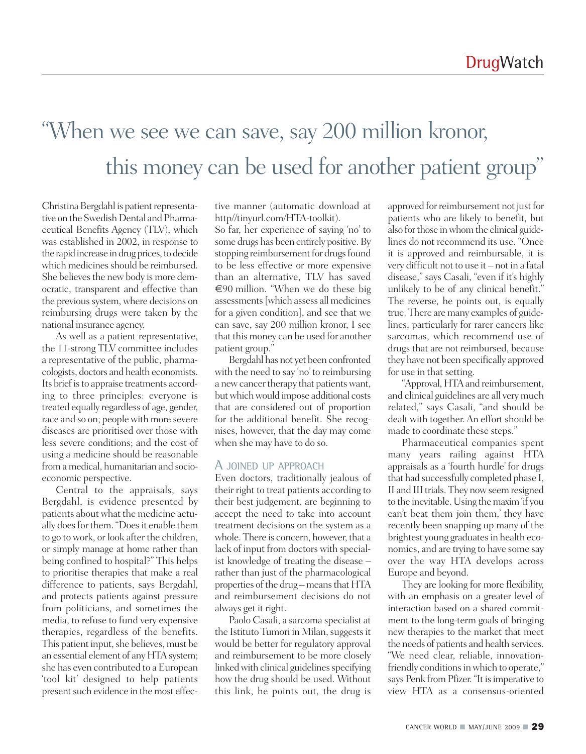# "When we see we can save, say 200 million kronor, this money can be used for another patient group"

Christina Bergdahl is patient representative on the Swedish Dental and Pharmaceutical Benefits Agency (TLV), which was established in 2002, in response to the rapid increase in drug prices, to decide which medicines should be reimbursed. She believes the new body is more democratic, transparent and effective than the previous system, where decisions on reimbursing drugs were taken by the national insurance agency.

As well as a patient representative, the 11-strong TLV committee includes a representative of the public, pharmacologists, doctors and health economists. Its brief is to appraise treatments according to three principles: everyone is treated equally regardless of age, gender, race and so on; peoplewith more severe diseases are prioritised over those with less severe conditions; and the cost of using a medicine should be reasonable from a medical, humanitarian and socioeconomic perspective.

Central to the appraisals, says Bergdahl, is evidence presented by patients about what the medicine actually does for them. "Does it enable them to go to work, or look after the children, or simply manage at home rather than being confined to hospital?" This helps to prioritise therapies that make a real difference to patients, says Bergdahl, and protects patients against pressure from politicians, and sometimes the media, to refuse to fund very expensive therapies, regardless of the benefits. This patient input, she believes, must be an essential element of any HTA system; she has even contributed to a European 'tool kit' designed to help patients present such evidence in the most effective manner (automatic download at http//tinyurl.com/HTA-toolkit).

So far, her experience of saying 'no' to some drugs has been entirely positive.By stopping reimbursement for drugs found to be less effective or more expensive than an alternative, TLV has saved  $\epsilon$ 90 million. "When we do these big assessments [which assess all medicines for a given condition], and see that we can save, say 200 million kronor, I see that this money can be used for another patient group."

Bergdahl has not yet been confronted with the need to say 'no'to reimbursing a new cancer therapy that patients want, but which would impose additional costs that are considered out of proportion for the additional benefit. She recognises, however, that the day may come when she may have to do so.

#### A JOINED UP APPROACH

Even doctors, traditionally jealous of their right to treat patients according to their best judgement, are beginning to accept the need to take into account treatment decisions on the system as a whole. There is concern, however, that a lack of input from doctors with specialist knowledge of treating the disease – rather than just of the pharmacological properties of the drug – means that HTA and reimbursement decisions do not always get it right.

Paolo Casali, a sarcoma specialist at the Istituto Tumori in Milan, suggests it would be better for regulatory approval and reimbursement to be more closely linked with clinical guidelines specifying how the drug should be used. Without this link, he points out, the drug is

approved for reimbursement not just for patients who are likely to benefit, but also for those in whom the clinical guidelines do not recommend its use. "Once it is approved and reimbursable, it is very difficult not to use it – not in a fatal disease," says Casali, "even if it's highly unlikely to be of any clinical benefit." The reverse, he points out, is equally true. There are many examples of guidelines, particularly for rarer cancers like sarcomas, which recommend use of drugs that are not reimbursed, because they have not been specifically approved for use in that setting.

"Approval, HTA and reimbursement, and clinical guidelines are all verymuch related," says Casali, "and should be dealt with together.An effort should be made to coordinate these steps."

Pharmaceutical companies spent many years railing against HTA appraisals as a 'fourth hurdle' for drugs that had successfully completed phase I, II and III trials. They now seem resigned to the inevitable.Using themaxim'if you can't beat them join them,' they have recently been snapping up many of the brightest young graduates in health economics, and are trying to have some say over the way HTA develops across Europe and beyond.

They are looking for more flexibility, with an emphasis on a greater level of interaction based on a shared commitment to the long-term goals of bringing new therapies to the market that meet the needs of patients and health services. "We need clear, reliable, innovationfriendly conditions in which to operate," says Penk from Pfizer. "It is imperative to view HTA as a consensus-oriented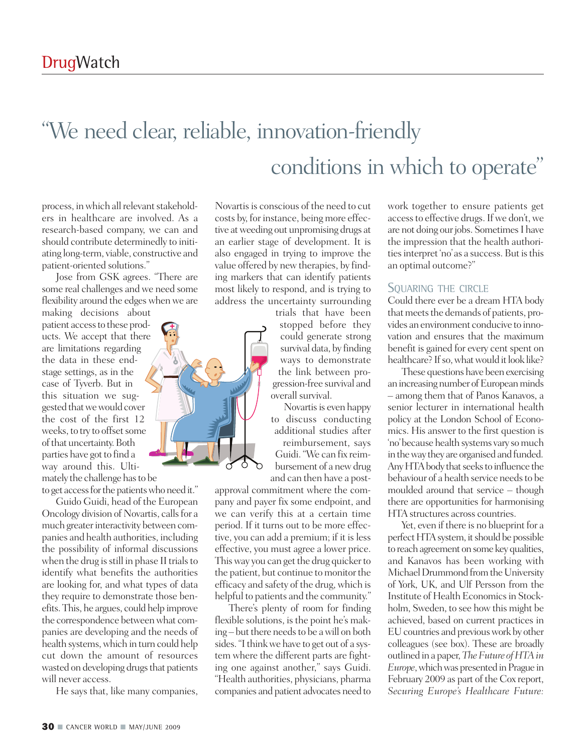# "We need clear, reliable, innovation-friendly conditions in which to operate"

process, in which all relevant stakeholders in healthcare are involved. As a research-based company, we can and should contribute determinedly to initiating long-term, viable, constructive and patient-oriented solutions."

Jose from GSK agrees. "There are some real challenges and we need some flexibility around the edges when we are making decisions about

patient access to these products. We accept that there are limitations regarding the data in these endstage settings, as in the case of Tyverb. But in this situation we suggested thatwewould cover the cost of the first 12 weeks, to try to offset some of that uncertainty. Both parties have got to find a way around this. Ultimately the challenge has to be

to get access for the patients who need it."

Guido Guidi, head of the European Oncology division of Novartis, calls for a much greater interactivity between companies and health authorities, including the possibility of informal discussions when the drug is still in phase II trials to identify what benefits the authorities are looking for, and what types of data they require to demonstrate those benefits.This, he argues, could help improve the correspondence between what companies are developing and the needs of health systems, which in turn could help cut down the amount of resources wasted on developing drugs that patients will never access.

He says that, like many companies,

Novartis is conscious of the need to cut costs by, for instance, being more effective atweeding out unpromising drugs at an earlier stage of development. It is also engaged in trying to improve the value offered by new therapies, by finding markers that can identify patients most likely to respond, and is trying to address the uncertainty surrounding

trials that have been stopped before they could generate strong survival data, by finding ways to demonstrate the link between progression-free survival and overall survival.

Novartis is even happy to discuss conducting additional studies after reimbursement, says Guidi."We can fix reimbursement of a new drug and can then have a post-

approval commitment where the company and payer fix some endpoint, and we can verify this at a certain time period. If it turns out to be more effective, you can add a premium; if it is less effective, you must agree a lower price. This way you can get the drug quicker to the patient, but continue to monitor the efficacy and safety of the drug, which is helpful to patients and the community."

There's plenty of room for finding flexible solutions, is the point he's making-but there needs to be a will on both sides. "I think we have to get out of a system where the different parts are fighting one against another," says Guidi. "Health authorities, physicians, pharma companies and patient advocates need to

work together to ensure patients get access to effective drugs. If we don't, we are not doing our jobs. Sometimes I have the impression that the health authorities interpret 'no' as a success. But is this an optimal outcome?"

#### SQUARING THE CIRCLE

Could there ever be a dream HTA body that meets the demands of patients, provides an environment conducive to innovation and ensures that the maximum benefit is gained for every cent spent on healthcare? If so, what would it look like?

These questions have been exercising an increasing number of European minds – among them that of Panos Kanavos, a senior lecturer in international health policy at the London School of Economics. His answer to the first question is 'no'because health systems vary somuch in the way they are organised and funded. Any HTA body that seeks to influence the behaviour of a health service needs to be moulded around that service – though there are opportunities for harmonising HTA structures across countries.

Yet, even if there is no blueprint for a perfect HTA system, it should be possible to reach agreement on some key qualities, and Kanavos has been working with Michael Drummond from the University of York, UK, and Ulf Persson from the Institute of Health Economics in Stockholm, Sweden, to see how this might be achieved, based on current practices in EU countries and previous work by other colleagues (see box). These are broadly outlined in a paper,*TheFuture ofHTAin Europe*, which was presented in Prague in February 2009 as part of the Cox report, *Securing Europe's Healthcare Future:*